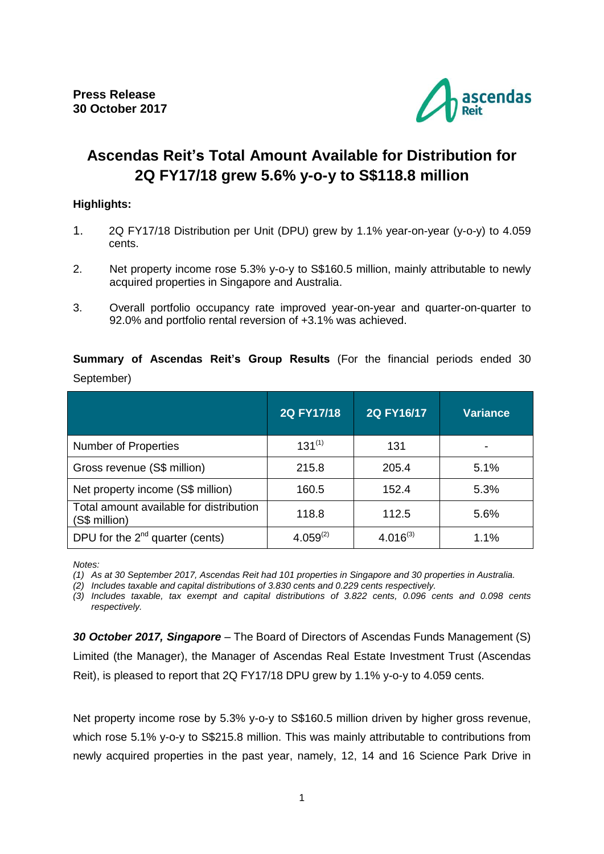

# **Ascendas Reit's Total Amount Available for Distribution for 2Q FY17/18 grew 5.6% y-o-y to S\$118.8 million**

# **Highlights:**

- 1. 2Q FY17/18 Distribution per Unit (DPU) grew by 1.1% year-on-year (y-o-y) to 4.059 cents.
- 2. Net property income rose 5.3% y-o-y to S\$160.5 million, mainly attributable to newly acquired properties in Singapore and Australia.
- 3. Overall portfolio occupancy rate improved year-on-year and quarter-on-quarter to 92.0% and portfolio rental reversion of +3.1% was achieved.

**Summary of Ascendas Reit's Group Results** (For the financial periods ended 30 September)

|                                                          | 2Q FY17/18    | 2Q FY16/17    | <b>Variance</b> |
|----------------------------------------------------------|---------------|---------------|-----------------|
| <b>Number of Properties</b>                              | $131^{(1)}$   | 131           |                 |
| Gross revenue (S\$ million)                              | 215.8         | 205.4         | 5.1%            |
| Net property income (S\$ million)                        | 160.5         | 152.4         | 5.3%            |
| Total amount available for distribution<br>(S\$ million) | 118.8         | 112.5         | 5.6%            |
| DPU for the $2^{nd}$ quarter (cents)                     | $4.059^{(2)}$ | $4.016^{(3)}$ | 1.1%            |

*Notes:* 

*(1) As at 30 September 2017, Ascendas Reit had 101 properties in Singapore and 30 properties in Australia.*

*(2) Includes taxable and capital distributions of 3.830 cents and 0.229 cents respectively.*

*(3) Includes taxable, tax exempt and capital distributions of 3.822 cents, 0.096 cents and 0.098 cents respectively.*

*30 October 2017, Singapore* – The Board of Directors of Ascendas Funds Management (S) Limited (the Manager), the Manager of Ascendas Real Estate Investment Trust (Ascendas Reit), is pleased to report that 2Q FY17/18 DPU grew by 1.1% y-o-y to 4.059 cents.

Net property income rose by 5.3% y-o-y to S\$160.5 million driven by higher gross revenue, which rose 5.1% y-o-y to S\$215.8 million. This was mainly attributable to contributions from newly acquired properties in the past year, namely, 12, 14 and 16 Science Park Drive in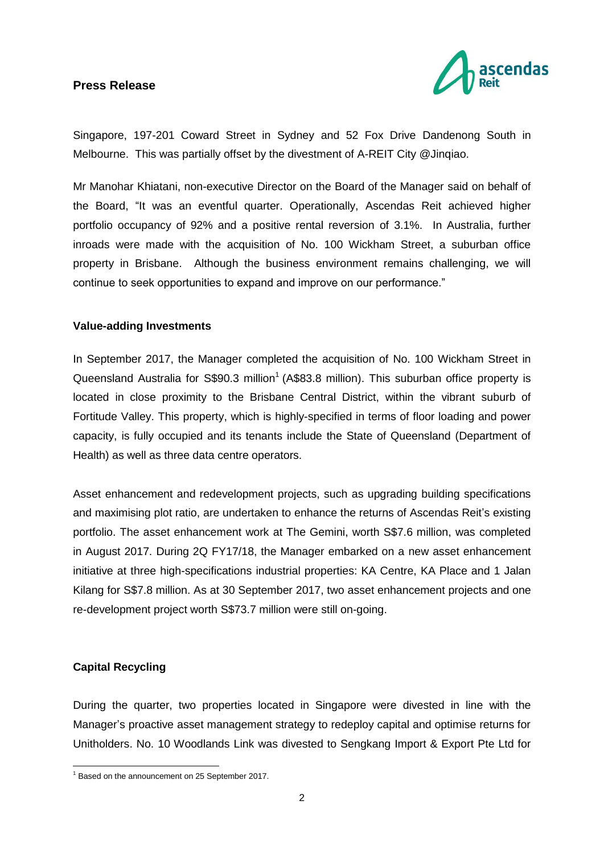

Singapore, 197-201 Coward Street in Sydney and 52 Fox Drive Dandenong South in Melbourne. This was partially offset by the divestment of A-REIT City @Jinqiao.

Mr Manohar Khiatani, non-executive Director on the Board of the Manager said on behalf of the Board, "It was an eventful quarter. Operationally, Ascendas Reit achieved higher portfolio occupancy of 92% and a positive rental reversion of 3.1%. In Australia, further inroads were made with the acquisition of No. 100 Wickham Street, a suburban office property in Brisbane. Although the business environment remains challenging, we will continue to seek opportunities to expand and improve on our performance."

#### **Value-adding Investments**

In September 2017, the Manager completed the acquisition of No. 100 Wickham Street in Queensland Australia for S\$90.3 million<sup>1</sup> (A\$83.8 million). This suburban office property is located in close proximity to the Brisbane Central District, within the vibrant suburb of Fortitude Valley. This property, which is highly-specified in terms of floor loading and power capacity, is fully occupied and its tenants include the State of Queensland (Department of Health) as well as three data centre operators.

Asset enhancement and redevelopment projects, such as upgrading building specifications and maximising plot ratio, are undertaken to enhance the returns of Ascendas Reit's existing portfolio. The asset enhancement work at The Gemini, worth S\$7.6 million, was completed in August 2017. During 2Q FY17/18, the Manager embarked on a new asset enhancement initiative at three high-specifications industrial properties: KA Centre, KA Place and 1 Jalan Kilang for S\$7.8 million. As at 30 September 2017, two asset enhancement projects and one re-development project worth S\$73.7 million were still on-going.

#### **Capital Recycling**

<u>.</u>

During the quarter, two properties located in Singapore were divested in line with the Manager's proactive asset management strategy to redeploy capital and optimise returns for Unitholders. No. 10 Woodlands Link was divested to Sengkang Import & Export Pte Ltd for

<sup>&</sup>lt;sup>1</sup> Based on the announcement on 25 September 2017.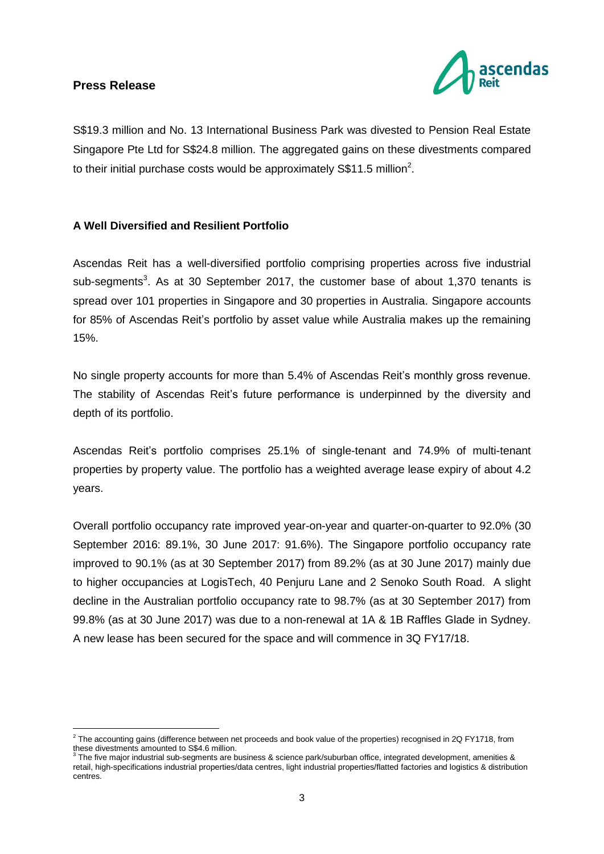

S\$19.3 million and No. 13 International Business Park was divested to Pension Real Estate Singapore Pte Ltd for S\$24.8 million. The aggregated gains on these divestments compared to their initial purchase costs would be approximately S\$11.5 million<sup>2</sup>.

# **A Well Diversified and Resilient Portfolio**

Ascendas Reit has a well-diversified portfolio comprising properties across five industrial sub-segments<sup>3</sup>. As at 30 September 2017, the customer base of about 1,370 tenants is spread over 101 properties in Singapore and 30 properties in Australia. Singapore accounts for 85% of Ascendas Reit's portfolio by asset value while Australia makes up the remaining 15%.

No single property accounts for more than 5.4% of Ascendas Reit's monthly gross revenue. The stability of Ascendas Reit's future performance is underpinned by the diversity and depth of its portfolio.

Ascendas Reit's portfolio comprises 25.1% of single-tenant and 74.9% of multi-tenant properties by property value. The portfolio has a weighted average lease expiry of about 4.2 years.

Overall portfolio occupancy rate improved year-on-year and quarter-on-quarter to 92.0% (30 September 2016: 89.1%, 30 June 2017: 91.6%). The Singapore portfolio occupancy rate improved to 90.1% (as at 30 September 2017) from 89.2% (as at 30 June 2017) mainly due to higher occupancies at LogisTech, 40 Penjuru Lane and 2 Senoko South Road. A slight decline in the Australian portfolio occupancy rate to 98.7% (as at 30 September 2017) from 99.8% (as at 30 June 2017) was due to a non-renewal at 1A & 1B Raffles Glade in Sydney. A new lease has been secured for the space and will commence in 3Q FY17/18.

 2 The accounting gains (difference between net proceeds and book value of the properties) recognised in 2Q FY1718, from these divestments amounted to S\$4.6 million.<br><sup>3</sup> The five moier industrial oub accreate are b

The five major industrial sub-segments are business & science park/suburban office, integrated development, amenities & retail, high-specifications industrial properties/data centres, light industrial properties/flatted factories and logistics & distribution centres.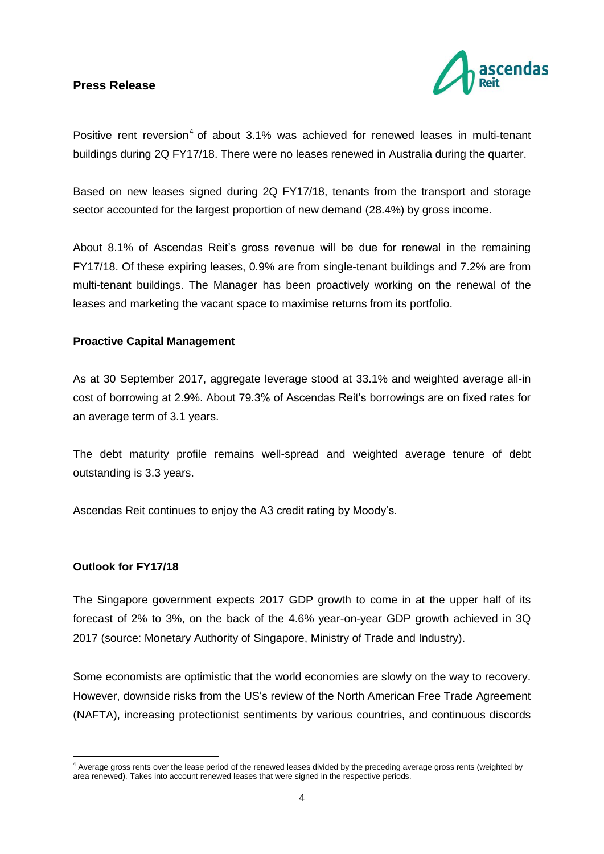

Positive rent reversion<sup>4</sup> of about  $3.1\%$  was achieved for renewed leases in multi-tenant buildings during 2Q FY17/18. There were no leases renewed in Australia during the quarter.

Based on new leases signed during 2Q FY17/18, tenants from the transport and storage sector accounted for the largest proportion of new demand (28.4%) by gross income.

About 8.1% of Ascendas Reit's gross revenue will be due for renewal in the remaining FY17/18. Of these expiring leases, 0.9% are from single-tenant buildings and 7.2% are from multi-tenant buildings. The Manager has been proactively working on the renewal of the leases and marketing the vacant space to maximise returns from its portfolio.

#### **Proactive Capital Management**

As at 30 September 2017, aggregate leverage stood at 33.1% and weighted average all-in cost of borrowing at 2.9%. About 79.3% of Ascendas Reit's borrowings are on fixed rates for an average term of 3.1 years.

The debt maturity profile remains well-spread and weighted average tenure of debt outstanding is 3.3 years.

Ascendas Reit continues to enjoy the A3 credit rating by Moody's.

#### **Outlook for FY17/18**

The Singapore government expects 2017 GDP growth to come in at the upper half of its forecast of 2% to 3%, on the back of the 4.6% year-on-year GDP growth achieved in 3Q 2017 (source: Monetary Authority of Singapore, Ministry of Trade and Industry).

Some economists are optimistic that the world economies are slowly on the way to recovery. However, downside risks from the US's review of the North American Free Trade Agreement (NAFTA), increasing protectionist sentiments by various countries, and continuous discords

<sup>1</sup> <sup>4</sup> Average gross rents over the lease period of the renewed leases divided by the preceding average gross rents (weighted by area renewed). Takes into account renewed leases that were signed in the respective periods.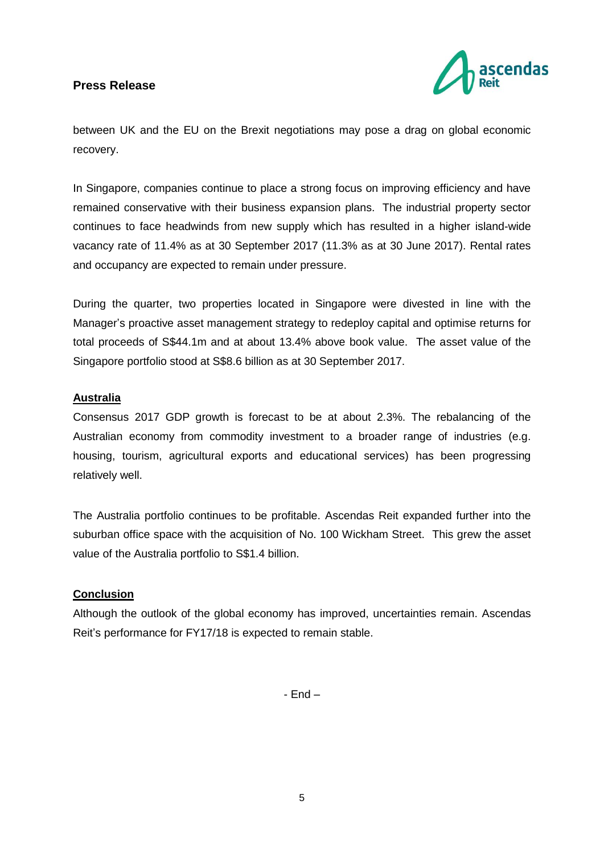

between UK and the EU on the Brexit negotiations may pose a drag on global economic recovery.

In Singapore, companies continue to place a strong focus on improving efficiency and have remained conservative with their business expansion plans. The industrial property sector continues to face headwinds from new supply which has resulted in a higher island-wide vacancy rate of 11.4% as at 30 September 2017 (11.3% as at 30 June 2017). Rental rates and occupancy are expected to remain under pressure.

During the quarter, two properties located in Singapore were divested in line with the Manager's proactive asset management strategy to redeploy capital and optimise returns for total proceeds of S\$44.1m and at about 13.4% above book value. The asset value of the Singapore portfolio stood at S\$8.6 billion as at 30 September 2017.

# **Australia**

Consensus 2017 GDP growth is forecast to be at about 2.3%. The rebalancing of the Australian economy from commodity investment to a broader range of industries (e.g. housing, tourism, agricultural exports and educational services) has been progressing relatively well.

The Australia portfolio continues to be profitable. Ascendas Reit expanded further into the suburban office space with the acquisition of No. 100 Wickham Street. This grew the asset value of the Australia portfolio to S\$1.4 billion.

#### **Conclusion**

Although the outlook of the global economy has improved, uncertainties remain. Ascendas Reit's performance for FY17/18 is expected to remain stable.

- End –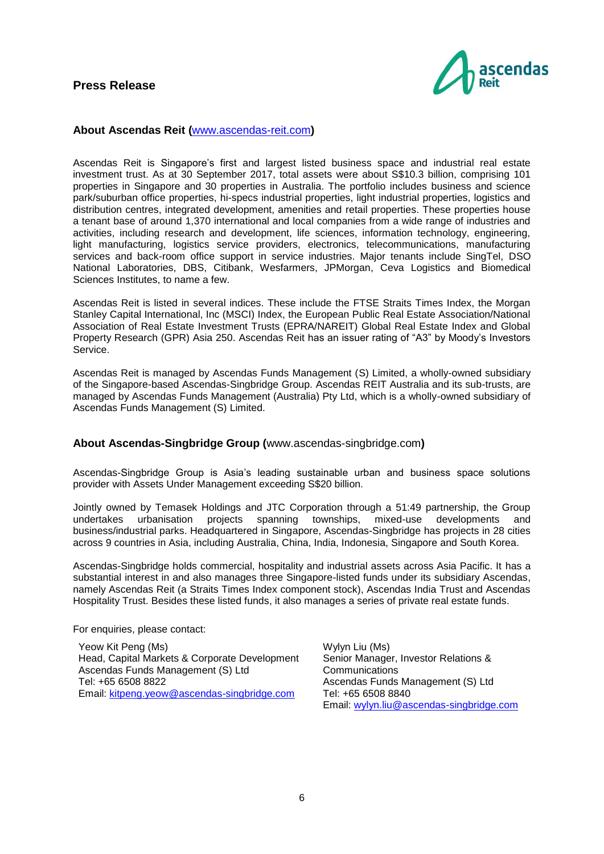

#### **About Ascendas Reit (**[www.ascendas-reit.com](http://www.ascendas-reit.com/)**)**

Ascendas Reit is Singapore's first and largest listed business space and industrial real estate investment trust. As at 30 September 2017, total assets were about S\$10.3 billion, comprising 101 properties in Singapore and 30 properties in Australia. The portfolio includes business and science park/suburban office properties, hi-specs industrial properties, light industrial properties, logistics and distribution centres, integrated development, amenities and retail properties. These properties house a tenant base of around 1,370 international and local companies from a wide range of industries and activities, including research and development, life sciences, information technology, engineering, light manufacturing, logistics service providers, electronics, telecommunications, manufacturing services and back-room office support in service industries. Major tenants include SingTel, DSO National Laboratories, DBS, Citibank, Wesfarmers, JPMorgan, Ceva Logistics and Biomedical Sciences Institutes, to name a few.

Ascendas Reit is listed in several indices. These include the FTSE Straits Times Index, the Morgan Stanley Capital International, Inc (MSCI) Index, the European Public Real Estate Association/National Association of Real Estate Investment Trusts (EPRA/NAREIT) Global Real Estate Index and Global Property Research (GPR) Asia 250. Ascendas Reit has an issuer rating of "A3" by Moody's Investors Service.

Ascendas Reit is managed by Ascendas Funds Management (S) Limited, a wholly-owned subsidiary of the Singapore-based Ascendas-Singbridge Group. Ascendas REIT Australia and its sub-trusts, are managed by Ascendas Funds Management (Australia) Pty Ltd, which is a wholly-owned subsidiary of Ascendas Funds Management (S) Limited.

#### **About Ascendas-Singbridge Group (**[www.ascendas-singbridge.com](http://www.ascendas-singbridge.com/)**)**

Ascendas-Singbridge Group is Asia's leading sustainable urban and business space solutions provider with Assets Under Management exceeding S\$20 billion.

Jointly owned by Temasek Holdings and JTC Corporation through a 51:49 partnership, the Group undertakes urbanisation projects spanning townships, mixed-use developments and undertakes urbanisation projects spanning townships, mixed-use developments and business/industrial parks. Headquartered in Singapore, Ascendas-Singbridge has projects in 28 cities across 9 countries in Asia, including Australia, China, India, Indonesia, Singapore and South Korea.

Ascendas-Singbridge holds commercial, hospitality and industrial assets across Asia Pacific. It has a substantial interest in and also manages three Singapore-listed funds under its subsidiary Ascendas, namely Ascendas Reit (a Straits Times Index component stock), Ascendas India Trust and Ascendas Hospitality Trust. Besides these listed funds, it also manages a series of private real estate funds.

For enquiries, please contact:

Yeow Kit Peng (Ms) Head, Capital Markets & Corporate Development Ascendas Funds Management (S) Ltd Tel: +65 6508 8822 Email: [kitpeng.yeow@ascendas-singbridge.com](mailto:kitpeng.yeow@ascendas-singbridge.com)

Wylyn Liu (Ms) Senior Manager, Investor Relations & **Communications** Ascendas Funds Management (S) Ltd Tel: +65 6508 8840 Email: [wylyn.liu@ascendas-singbridge.com](mailto:wylyn.liu@ascendas-singbridge.com)